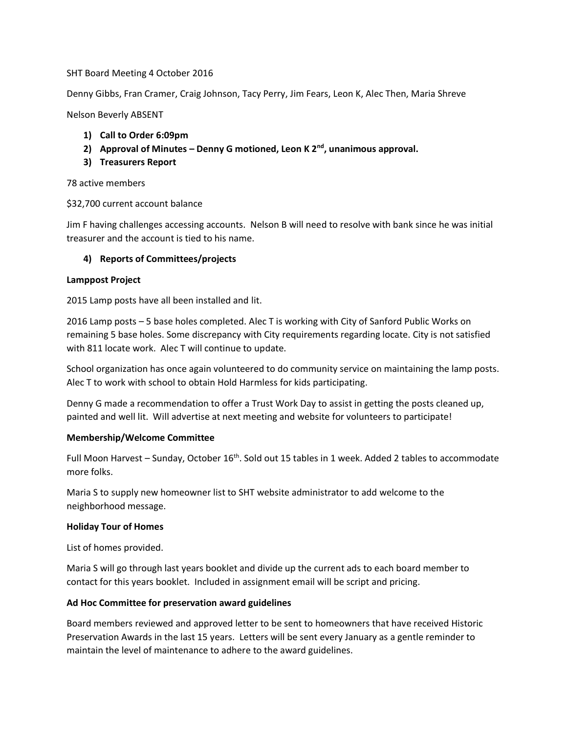# SHT Board Meeting 4 October 2016

Denny Gibbs, Fran Cramer, Craig Johnson, Tacy Perry, Jim Fears, Leon K, Alec Then, Maria Shreve

Nelson Beverly ABSENT

- **1) Call to Order 6:09pm**
- **2) Approval of Minutes – Denny G motioned, Leon K 2nd, unanimous approval.**
- **3) Treasurers Report**

#### 78 active members

# \$32,700 current account balance

Jim F having challenges accessing accounts. Nelson B will need to resolve with bank since he was initial treasurer and the account is tied to his name.

# **4) Reports of Committees/projects**

#### **Lamppost Project**

2015 Lamp posts have all been installed and lit.

2016 Lamp posts – 5 base holes completed. Alec T is working with City of Sanford Public Works on remaining 5 base holes. Some discrepancy with City requirements regarding locate. City is not satisfied with 811 locate work. Alec T will continue to update.

School organization has once again volunteered to do community service on maintaining the lamp posts. Alec T to work with school to obtain Hold Harmless for kids participating.

Denny G made a recommendation to offer a Trust Work Day to assist in getting the posts cleaned up, painted and well lit. Will advertise at next meeting and website for volunteers to participate!

# **Membership/Welcome Committee**

Full Moon Harvest - Sunday, October 16<sup>th</sup>. Sold out 15 tables in 1 week. Added 2 tables to accommodate more folks.

Maria S to supply new homeowner list to SHT website administrator to add welcome to the neighborhood message.

#### **Holiday Tour of Homes**

List of homes provided.

Maria S will go through last years booklet and divide up the current ads to each board member to contact for this years booklet. Included in assignment email will be script and pricing.

# **Ad Hoc Committee for preservation award guidelines**

Board members reviewed and approved letter to be sent to homeowners that have received Historic Preservation Awards in the last 15 years. Letters will be sent every January as a gentle reminder to maintain the level of maintenance to adhere to the award guidelines.